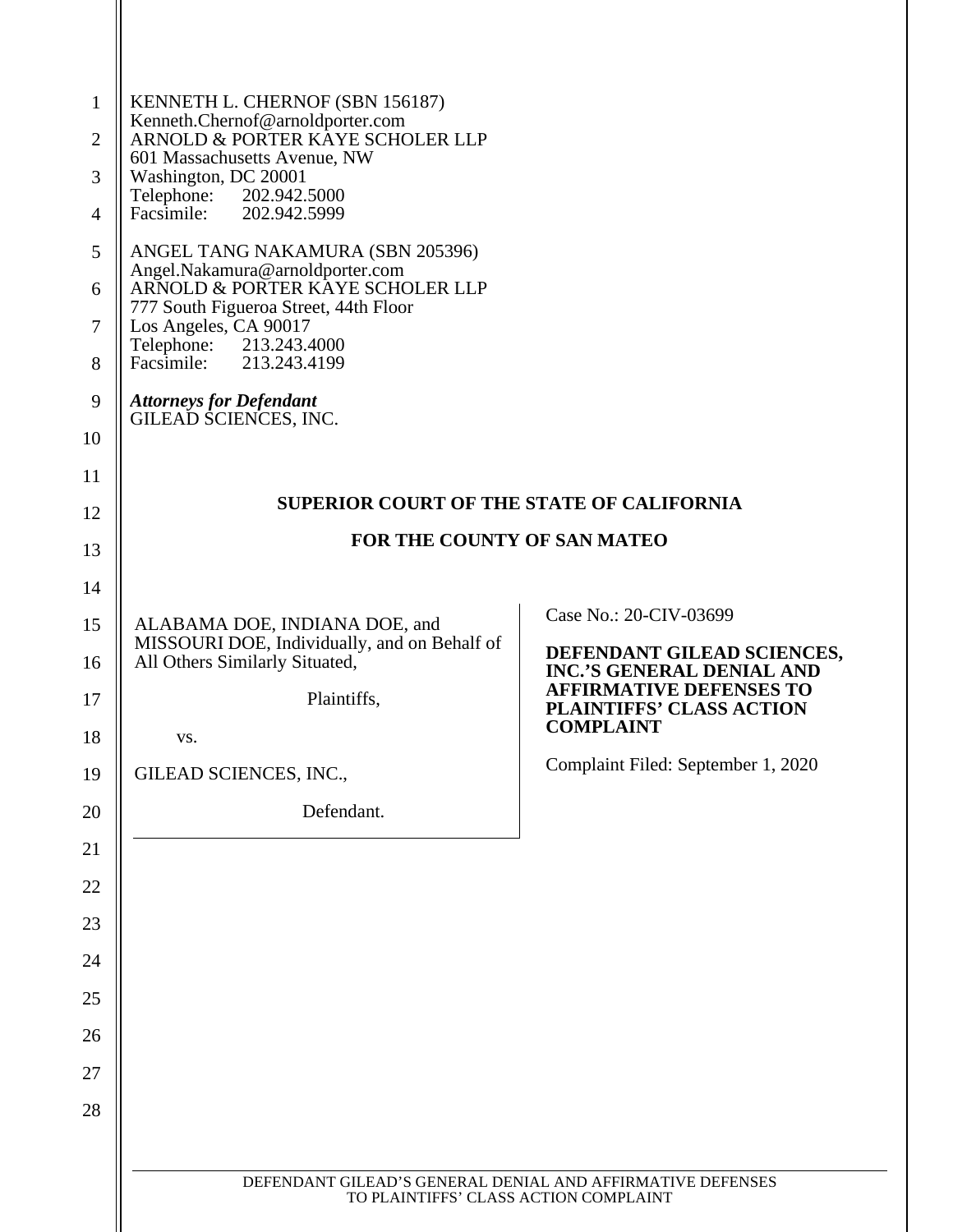| $\mathbf{1}$<br>$\overline{2}$<br>3<br>$\overline{4}$<br>5<br>6<br>$\overline{7}$<br>8<br>9<br>10 | KENNETH L. CHERNOF (SBN 156187)<br>Kenneth.Chernof@arnoldporter.com<br>ARNOLD & PORTER KAYE SCHOLER LLP<br>601 Massachusetts Avenue, NW<br>Washington, DC 20001<br>Telephone: 202.942.5000<br>Facsimile:<br>202.942.5999<br>ANGEL TANG NAKAMURA (SBN 205396)<br>Angel.Nakamura@arnoldporter.com<br>ARNOLD & PORTER KAYE SCHOLER LLP<br>777 South Figueroa Street, 44th Floor<br>Los Angeles, CA 90017<br>Telephone: 213.243.4000<br>Facsimile:<br>213.243.4199<br><b>Attorneys for Defendant</b><br>GILEAD SCIENCES, INC. |                                                                   |  |
|---------------------------------------------------------------------------------------------------|---------------------------------------------------------------------------------------------------------------------------------------------------------------------------------------------------------------------------------------------------------------------------------------------------------------------------------------------------------------------------------------------------------------------------------------------------------------------------------------------------------------------------|-------------------------------------------------------------------|--|
| 11                                                                                                |                                                                                                                                                                                                                                                                                                                                                                                                                                                                                                                           |                                                                   |  |
| 12                                                                                                | <b>SUPERIOR COURT OF THE STATE OF CALIFORNIA</b>                                                                                                                                                                                                                                                                                                                                                                                                                                                                          |                                                                   |  |
| 13                                                                                                | FOR THE COUNTY OF SAN MATEO                                                                                                                                                                                                                                                                                                                                                                                                                                                                                               |                                                                   |  |
| 14                                                                                                |                                                                                                                                                                                                                                                                                                                                                                                                                                                                                                                           |                                                                   |  |
| 15                                                                                                | ALABAMA DOE, INDIANA DOE, and                                                                                                                                                                                                                                                                                                                                                                                                                                                                                             | Case No.: 20-CIV-03699                                            |  |
| 16                                                                                                | MISSOURI DOE, Individually, and on Behalf of<br>All Others Similarly Situated,                                                                                                                                                                                                                                                                                                                                                                                                                                            | DEFENDANT GILEAD SCIENCES,<br><b>INC.'S GENERAL DENIAL AND</b>    |  |
| 17                                                                                                | Plaintiffs,                                                                                                                                                                                                                                                                                                                                                                                                                                                                                                               | <b>AFFIRMATIVE DEFENSES TO</b><br><b>PLAINTIFFS' CLASS ACTION</b> |  |
| 18                                                                                                | VS.                                                                                                                                                                                                                                                                                                                                                                                                                                                                                                                       | <b>COMPLAINT</b>                                                  |  |
| 19                                                                                                | GILEAD SCIENCES, INC.,                                                                                                                                                                                                                                                                                                                                                                                                                                                                                                    | Complaint Filed: September 1, 2020                                |  |
| 20                                                                                                | Defendant.                                                                                                                                                                                                                                                                                                                                                                                                                                                                                                                |                                                                   |  |
| 21                                                                                                |                                                                                                                                                                                                                                                                                                                                                                                                                                                                                                                           |                                                                   |  |
| 22                                                                                                |                                                                                                                                                                                                                                                                                                                                                                                                                                                                                                                           |                                                                   |  |
| 23                                                                                                |                                                                                                                                                                                                                                                                                                                                                                                                                                                                                                                           |                                                                   |  |
| 24                                                                                                |                                                                                                                                                                                                                                                                                                                                                                                                                                                                                                                           |                                                                   |  |
| 25                                                                                                |                                                                                                                                                                                                                                                                                                                                                                                                                                                                                                                           |                                                                   |  |
| 26                                                                                                |                                                                                                                                                                                                                                                                                                                                                                                                                                                                                                                           |                                                                   |  |
| 27                                                                                                |                                                                                                                                                                                                                                                                                                                                                                                                                                                                                                                           |                                                                   |  |
| 28                                                                                                |                                                                                                                                                                                                                                                                                                                                                                                                                                                                                                                           |                                                                   |  |
|                                                                                                   |                                                                                                                                                                                                                                                                                                                                                                                                                                                                                                                           |                                                                   |  |
|                                                                                                   | DEFENDANT GILEAD'S GENERAL DENIAL AND AFFIRMATIVE DEFENSES<br>TO PLAINTIFFS' CLASS ACTION COMPLAINT                                                                                                                                                                                                                                                                                                                                                                                                                       |                                                                   |  |
|                                                                                                   |                                                                                                                                                                                                                                                                                                                                                                                                                                                                                                                           |                                                                   |  |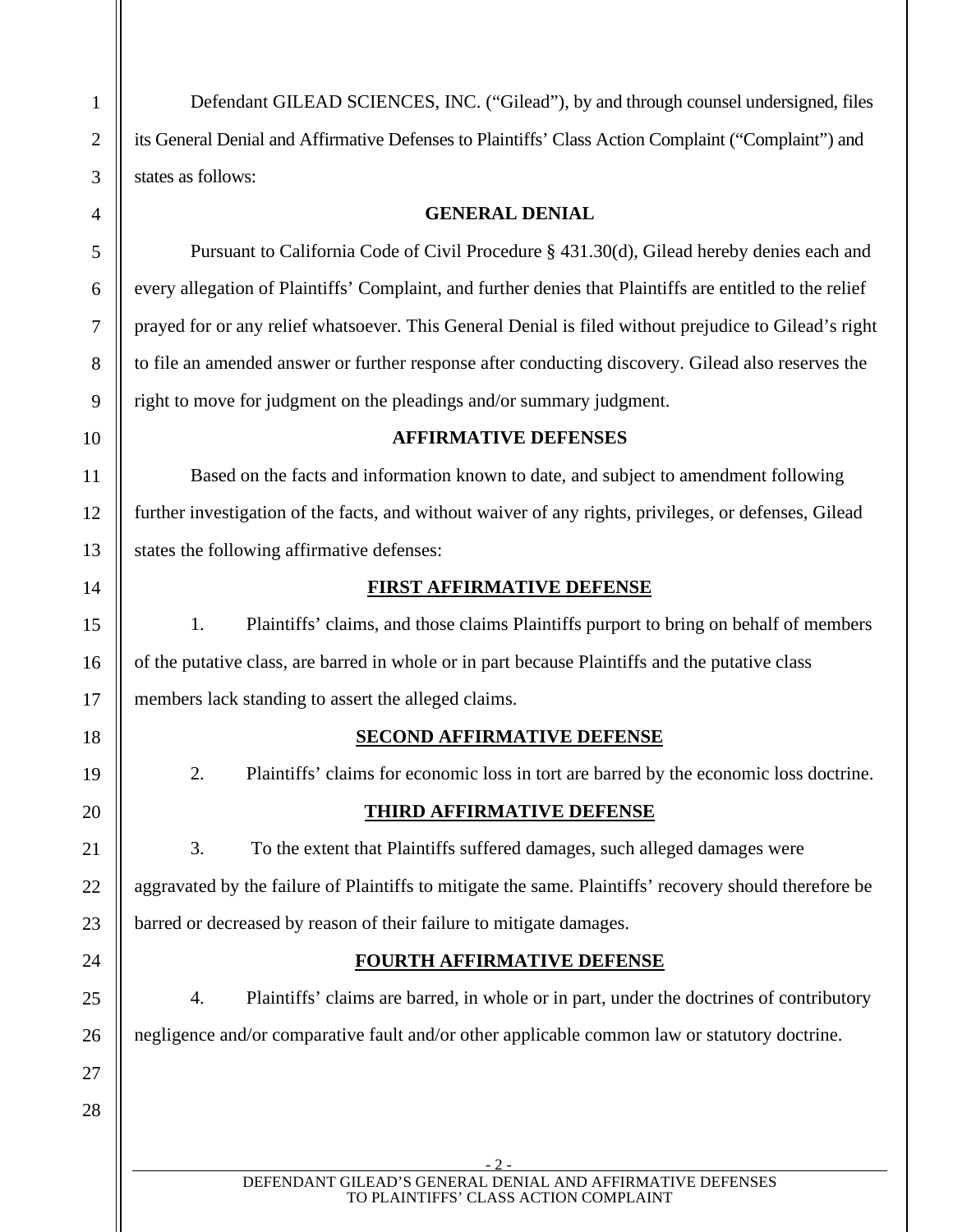Defendant GILEAD SCIENCES, INC. ("Gilead"), by and through counsel undersigned, files its General Denial and Affirmative Defenses to Plaintiffs' Class Action Complaint ("Complaint") and states as follows:

#### **GENERAL DENIAL**

Pursuant to California Code of Civil Procedure § 431.30(d), Gilead hereby denies each and every allegation of Plaintiffs' Complaint, and further denies that Plaintiffs are entitled to the relief prayed for or any relief whatsoever. This General Denial is filed without prejudice to Gilead's right to file an amended answer or further response after conducting discovery. Gilead also reserves the right to move for judgment on the pleadings and/or summary judgment.

#### **AFFIRMATIVE DEFENSES**

Based on the facts and information known to date, and subject to amendment following further investigation of the facts, and without waiver of any rights, privileges, or defenses, Gilead states the following affirmative defenses:

#### **FIRST AFFIRMATIVE DEFENSE**

1. Plaintiffs' claims, and those claims Plaintiffs purport to bring on behalf of members of the putative class, are barred in whole or in part because Plaintiffs and the putative class members lack standing to assert the alleged claims.

# **SECOND AFFIRMATIVE DEFENSE**

# 2. Plaintiffs' claims for economic loss in tort are barred by the economic loss doctrine.

# **THIRD AFFIRMATIVE DEFENSE**

3. To the extent that Plaintiffs suffered damages, such alleged damages were aggravated by the failure of Plaintiffs to mitigate the same. Plaintiffs' recovery should therefore be barred or decreased by reason of their failure to mitigate damages.

# **FOURTH AFFIRMATIVE DEFENSE**

4. Plaintiffs' claims are barred, in whole or in part, under the doctrines of contributory negligence and/or comparative fault and/or other applicable common law or statutory doctrine.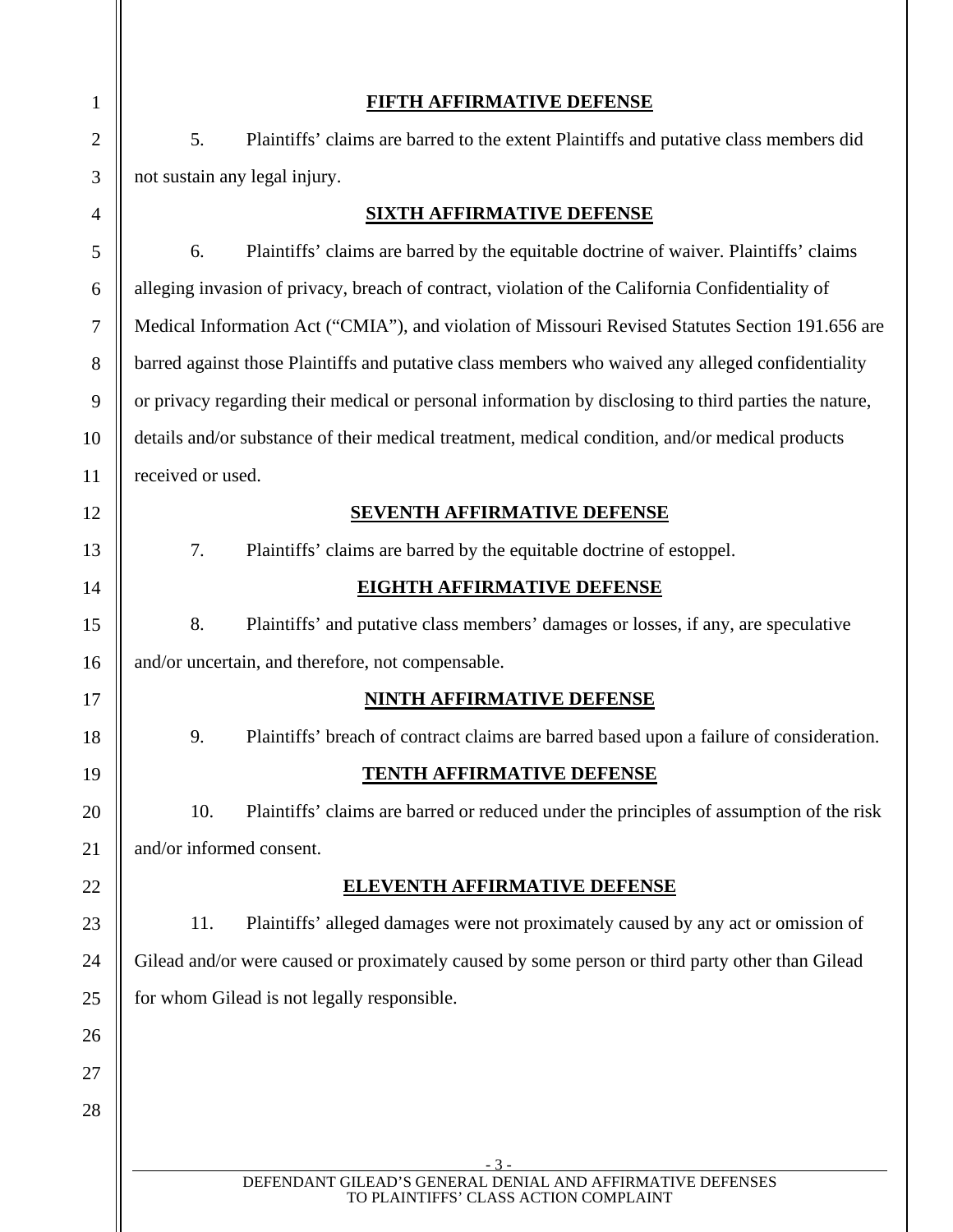| $\mathbf{1}$   |                                                                                                       | <b>FIFTH AFFIRMATIVE DEFENSE</b>                                                                    |
|----------------|-------------------------------------------------------------------------------------------------------|-----------------------------------------------------------------------------------------------------|
| $\overline{2}$ | 5.                                                                                                    | Plaintiffs' claims are barred to the extent Plaintiffs and putative class members did               |
| 3              | not sustain any legal injury.                                                                         |                                                                                                     |
| $\overline{4}$ | <b>SIXTH AFFIRMATIVE DEFENSE</b>                                                                      |                                                                                                     |
| 5              | 6.                                                                                                    | Plaintiffs' claims are barred by the equitable doctrine of waiver. Plaintiffs' claims               |
| 6              |                                                                                                       | alleging invasion of privacy, breach of contract, violation of the California Confidentiality of    |
| $\overline{7}$ | Medical Information Act ("CMIA"), and violation of Missouri Revised Statutes Section 191.656 are      |                                                                                                     |
| 8              | barred against those Plaintiffs and putative class members who waived any alleged confidentiality     |                                                                                                     |
| 9              | or privacy regarding their medical or personal information by disclosing to third parties the nature, |                                                                                                     |
| 10             | details and/or substance of their medical treatment, medical condition, and/or medical products       |                                                                                                     |
| 11             | received or used.                                                                                     |                                                                                                     |
| 12             |                                                                                                       | SEVENTH AFFIRMATIVE DEFENSE                                                                         |
| 13             | 7.                                                                                                    | Plaintiffs' claims are barred by the equitable doctrine of estoppel.                                |
| 14             |                                                                                                       | <b>EIGHTH AFFIRMATIVE DEFENSE</b>                                                                   |
| 15             | 8.                                                                                                    | Plaintiffs' and putative class members' damages or losses, if any, are speculative                  |
| 16             |                                                                                                       | and/or uncertain, and therefore, not compensable.                                                   |
| 17             |                                                                                                       | <b>NINTH AFFIRMATIVE DEFENSE</b>                                                                    |
| 18             | 9.                                                                                                    | Plaintiffs' breach of contract claims are barred based upon a failure of consideration.             |
| 19             |                                                                                                       | <b>TENTH AFFIRMATIVE DEFENSE</b>                                                                    |
| 20             | 10.                                                                                                   | Plaintiffs' claims are barred or reduced under the principles of assumption of the risk             |
| 21             | and/or informed consent.                                                                              |                                                                                                     |
| 22             |                                                                                                       | <b>ELEVENTH AFFIRMATIVE DEFENSE</b>                                                                 |
| 23             | 11.                                                                                                   | Plaintiffs' alleged damages were not proximately caused by any act or omission of                   |
| 24             |                                                                                                       | Gilead and/or were caused or proximately caused by some person or third party other than Gilead     |
| 25             |                                                                                                       | for whom Gilead is not legally responsible.                                                         |
| 26             |                                                                                                       |                                                                                                     |
| 27             |                                                                                                       |                                                                                                     |
| 28             |                                                                                                       |                                                                                                     |
|                |                                                                                                       | $-3-$                                                                                               |
|                |                                                                                                       | DEFENDANT GILEAD'S GENERAL DENIAL AND AFFIRMATIVE DEFENSES<br>TO PLAINTIFFS' CLASS ACTION COMPLAINT |
|                |                                                                                                       |                                                                                                     |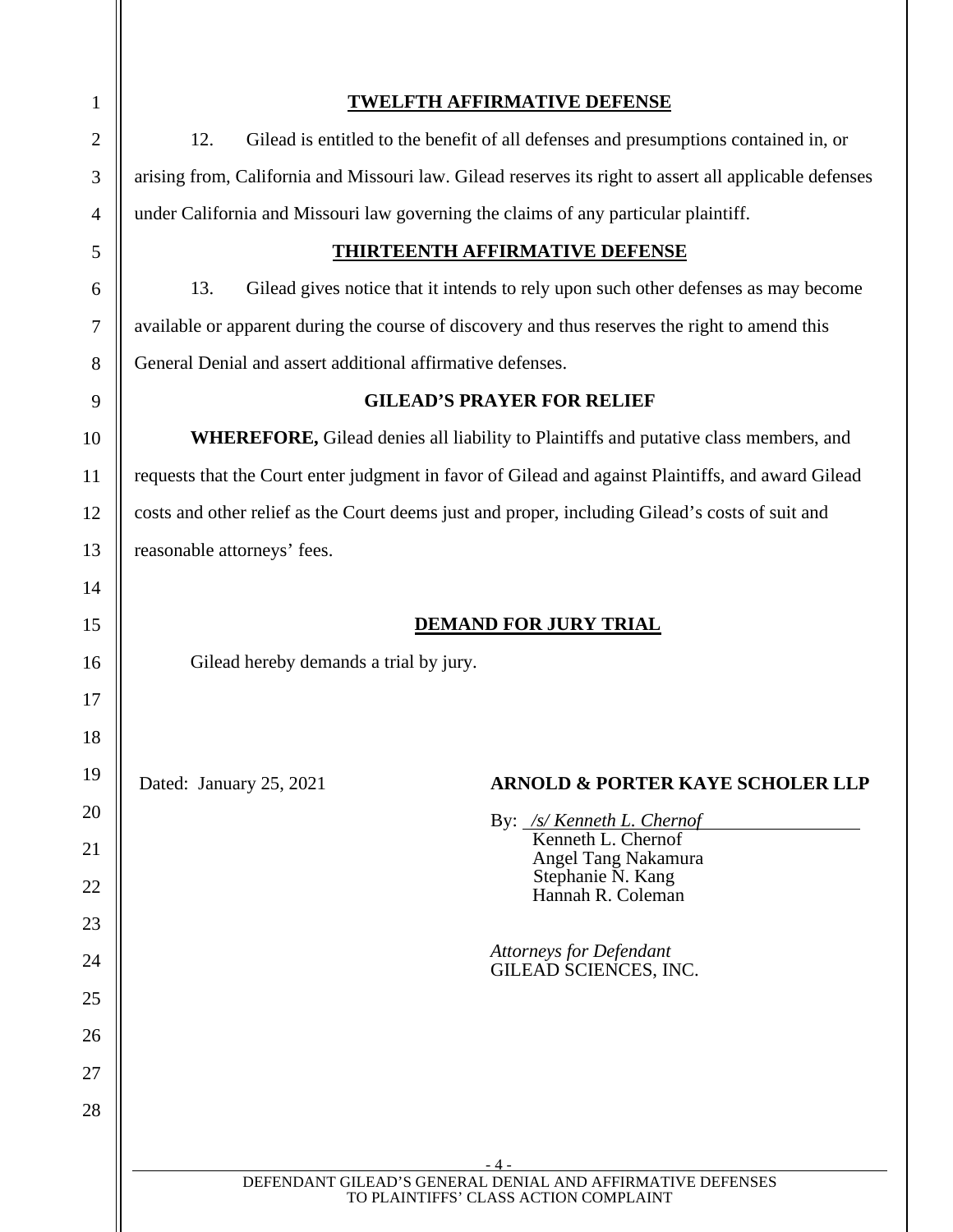| $\mathbf{1}$   | <b>TWELFTH AFFIRMATIVE DEFENSE</b>                                                                     |  |  |
|----------------|--------------------------------------------------------------------------------------------------------|--|--|
| $\overline{c}$ | Gilead is entitled to the benefit of all defenses and presumptions contained in, or<br>12.             |  |  |
| 3              | arising from, California and Missouri law. Gilead reserves its right to assert all applicable defenses |  |  |
| $\overline{4}$ | under California and Missouri law governing the claims of any particular plaintiff.                    |  |  |
| 5              | <b>THIRTEENTH AFFIRMATIVE DEFENSE</b>                                                                  |  |  |
| 6              | Gilead gives notice that it intends to rely upon such other defenses as may become<br>13.              |  |  |
| 7              | available or apparent during the course of discovery and thus reserves the right to amend this         |  |  |
| 8              | General Denial and assert additional affirmative defenses.                                             |  |  |
| 9              | <b>GILEAD'S PRAYER FOR RELIEF</b>                                                                      |  |  |
| 10             | <b>WHEREFORE, Gilead denies all liability to Plaintiffs and putative class members, and</b>            |  |  |
| 11             | requests that the Court enter judgment in favor of Gilead and against Plaintiffs, and award Gilead     |  |  |
| 12             | costs and other relief as the Court deems just and proper, including Gilead's costs of suit and        |  |  |
| 13             | reasonable attorneys' fees.                                                                            |  |  |
| 14             |                                                                                                        |  |  |
| 15             | <b>DEMAND FOR JURY TRIAL</b>                                                                           |  |  |
| 16             | Gilead hereby demands a trial by jury.                                                                 |  |  |
| 17             |                                                                                                        |  |  |
| 18             |                                                                                                        |  |  |
| 19             | Dated: January 25, 2021<br><b>ARNOLD &amp; PORTER KAYE SCHOLER LLP</b>                                 |  |  |
| 20             | By: <u>/s/ Kenneth L. Chernof</u><br>Kenneth L. Chernof                                                |  |  |
| 21             | Angel Tang Nakamura                                                                                    |  |  |
| 22             | Stephanie N. Kang<br>Hannah R. Coleman                                                                 |  |  |
| 23             |                                                                                                        |  |  |
| 24             | <b>Attorneys for Defendant</b><br>GILEAD SCIENCES, INC.                                                |  |  |
| 25             |                                                                                                        |  |  |
| 26             |                                                                                                        |  |  |
| 27             |                                                                                                        |  |  |
| 28             |                                                                                                        |  |  |
|                | - 4 -                                                                                                  |  |  |
|                | DEFENDANT GILEAD'S GENERAL DENIAL AND AFFIRMATIVE DEFENSES<br>TO PLAINTIFFS' CLASS ACTION COMPLAINT    |  |  |
|                |                                                                                                        |  |  |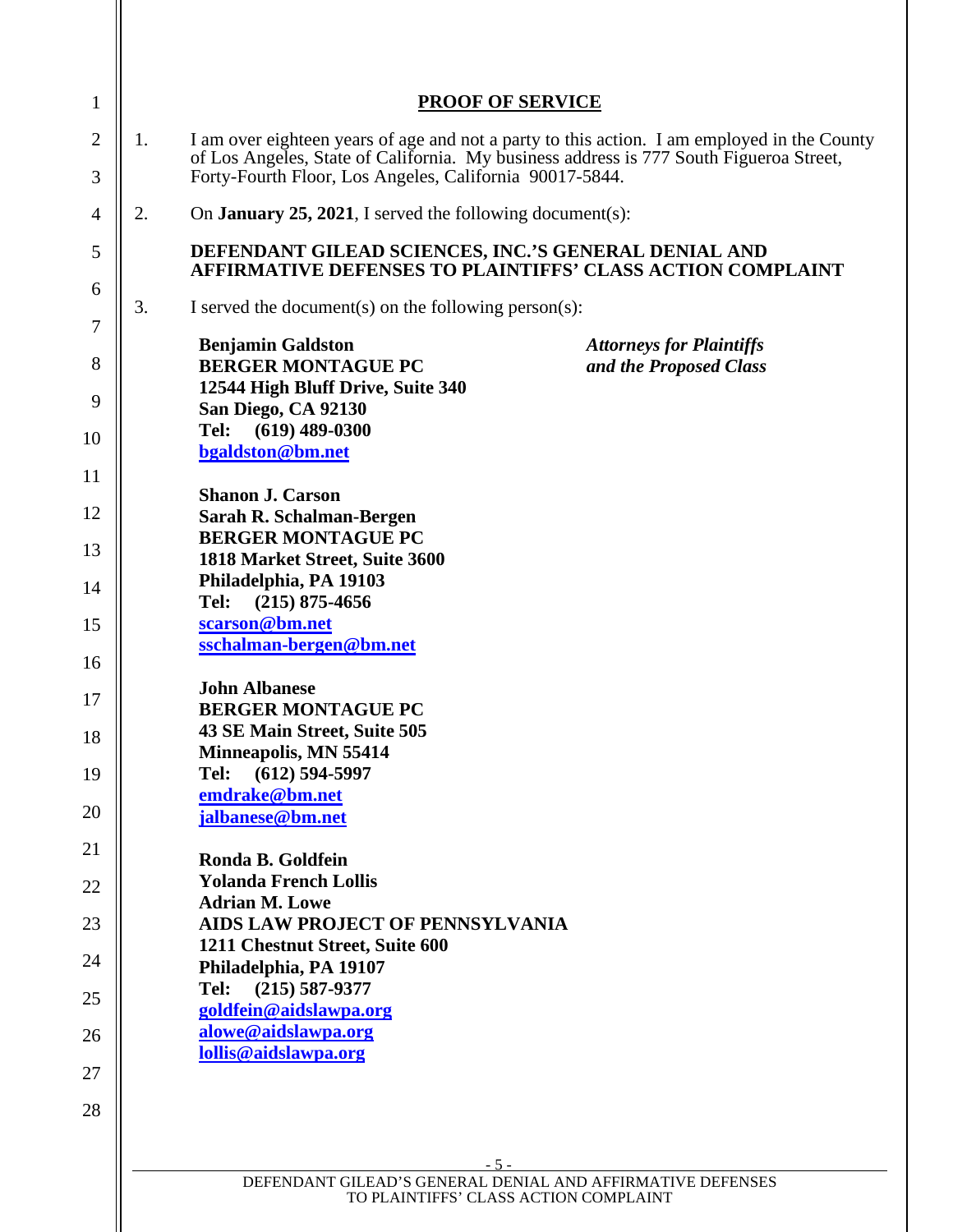| 1              | <b>PROOF OF SERVICE</b>                                                                                                                           |
|----------------|---------------------------------------------------------------------------------------------------------------------------------------------------|
| $\overline{2}$ | I am over eighteen years of age and not a party to this action. I am employed in the County<br>1.                                                 |
| 3              | of Los Angeles, State of California. My business address is 777 South Figueroa Street,<br>Forty-Fourth Floor, Los Angeles, California 90017-5844. |
| $\overline{4}$ | 2.<br>On <b>January 25, 2021</b> , I served the following document(s):                                                                            |
| 5              | DEFENDANT GILEAD SCIENCES, INC.'S GENERAL DENIAL AND<br><b>AFFIRMATIVE DEFENSES TO PLAINTIFFS' CLASS ACTION COMPLAINT</b>                         |
| 6<br>7         | 3.<br>I served the document(s) on the following person(s):                                                                                        |
| 8              | <b>Benjamin Galdston</b><br><b>Attorneys for Plaintiffs</b><br><b>BERGER MONTAGUE PC</b><br>and the Proposed Class                                |
| 9              | 12544 High Bluff Drive, Suite 340<br>San Diego, CA 92130                                                                                          |
| 10             | $(619)$ 489-0300<br>Tel:<br>bgaldston@bm.net                                                                                                      |
| 11             |                                                                                                                                                   |
| 12             | <b>Shanon J. Carson</b><br>Sarah R. Schalman-Bergen                                                                                               |
| 13             | <b>BERGER MONTAGUE PC</b><br>1818 Market Street, Suite 3600                                                                                       |
| 14             | Philadelphia, PA 19103                                                                                                                            |
| 15             | $(215)$ 875-4656<br>Tel:<br>scarson@bm.net                                                                                                        |
| 16             | sschalman-bergen@bm.net                                                                                                                           |
| 17             | <b>John Albanese</b><br><b>BERGER MONTAGUE PC</b>                                                                                                 |
| 18             | 43 SE Main Street, Suite 505<br><b>Minneapolis, MN 55414</b>                                                                                      |
| 19             | $(612)$ 594-5997<br>Tel:<br>emdrake@bm.net                                                                                                        |
| 20             | jalbanese@bm.net                                                                                                                                  |
| 21             | Ronda B. Goldfein                                                                                                                                 |
| 22             | <b>Yolanda French Lollis</b><br><b>Adrian M. Lowe</b>                                                                                             |
| 23             | AIDS LAW PROJECT OF PENNSYLVANIA                                                                                                                  |
| 24             | 1211 Chestnut Street, Suite 600<br>Philadelphia, PA 19107                                                                                         |
| 25             | $(215) 587 - 9377$<br>Tel:<br>goldfein@aidslawpa.org                                                                                              |
| 26             | alowe@aidslawpa.org                                                                                                                               |
| 27             | lollis@aidslawpa.org                                                                                                                              |
| 28             |                                                                                                                                                   |
|                |                                                                                                                                                   |
|                | $-5-$<br>DEFENDANT GILEAD'S GENERAL DENIAL AND AFFIRMATIVE DEFENSES                                                                               |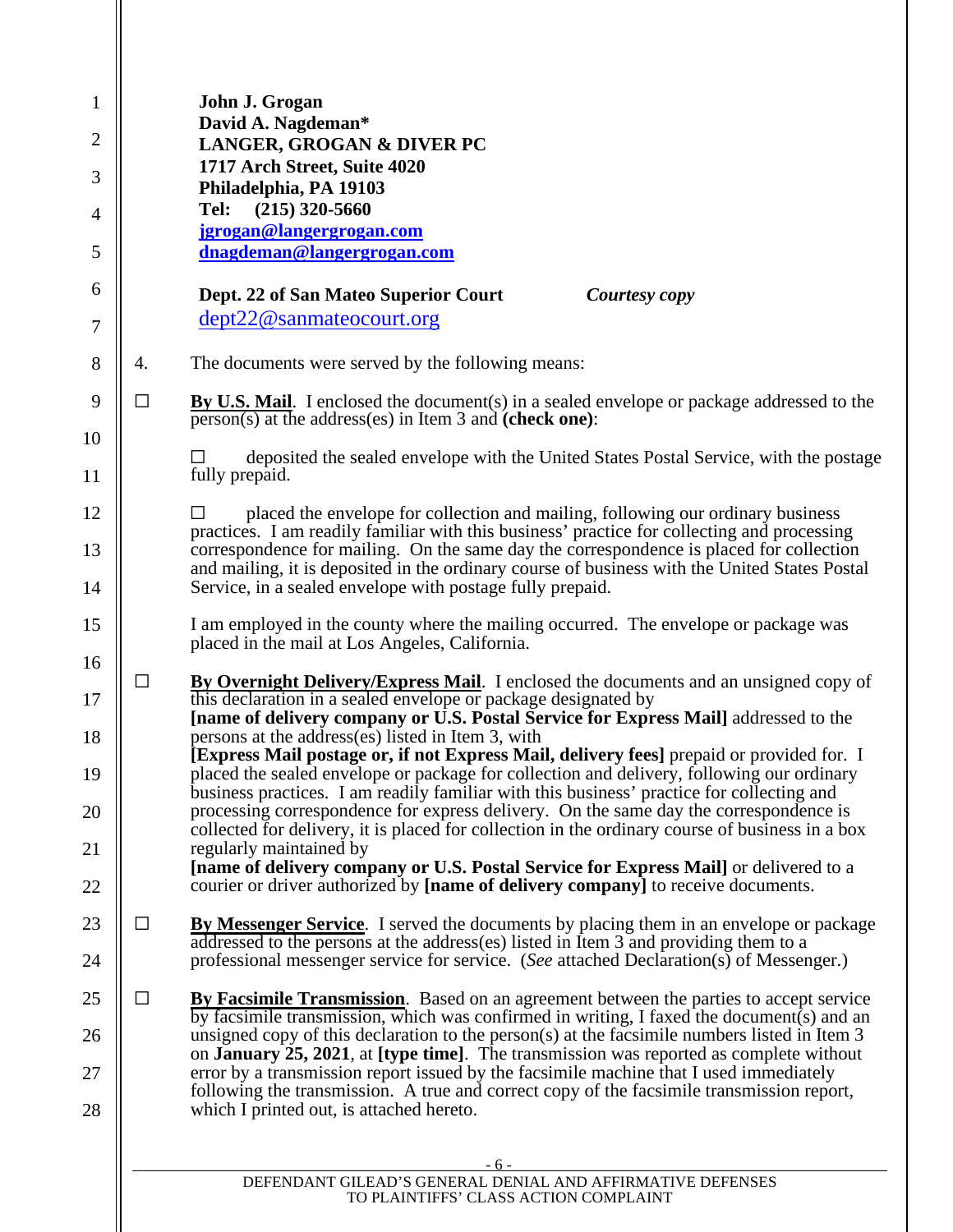| 1<br>2<br>3    |        | John J. Grogan<br>David A. Nagdeman*<br>LANGER, GROGAN & DIVER PC<br>1717 Arch Street, Suite 4020<br>Philadelphia, PA 19103                                                                                                                                                                        |
|----------------|--------|----------------------------------------------------------------------------------------------------------------------------------------------------------------------------------------------------------------------------------------------------------------------------------------------------|
| 4              |        | $(215)$ 320-5660<br>Tel:<br>jgrogan@langergrogan.com                                                                                                                                                                                                                                               |
| 5              |        | dnagdeman@langergrogan.com                                                                                                                                                                                                                                                                         |
| 6              |        | Dept. 22 of San Mateo Superior Court<br>Courtesy copy<br>dept22@sanmateocourt.org                                                                                                                                                                                                                  |
| 7              |        |                                                                                                                                                                                                                                                                                                    |
| 8              | 4.     | The documents were served by the following means:                                                                                                                                                                                                                                                  |
| 9<br>10        | $\Box$ | <b>By U.S. Mail.</b> I enclosed the document(s) in a sealed envelope or package addressed to the<br>$\overline{\text{person(s)}}$ at the address(es) in Item 3 and (check one):                                                                                                                    |
| 11             |        | deposited the sealed envelope with the United States Postal Service, with the postage<br>fully prepaid.                                                                                                                                                                                            |
| 12             |        | placed the envelope for collection and mailing, following our ordinary business                                                                                                                                                                                                                    |
| 13             |        | practices. I am readily familiar with this business' practice for collecting and processing<br>correspondence for mailing. On the same day the correspondence is placed for collection                                                                                                             |
| 14             |        | and mailing, it is deposited in the ordinary course of business with the United States Postal<br>Service, in a sealed envelope with postage fully prepaid.                                                                                                                                         |
| 15             |        | I am employed in the county where the mailing occurred. The envelope or package was<br>placed in the mail at Los Angeles, California.                                                                                                                                                              |
| 16<br>17<br>18 | $\Box$ | By Overnight Delivery/Express Mail. I enclosed the documents and an unsigned copy of<br>this declaration in a sealed envelope or package designated by<br>[name of delivery company or U.S. Postal Service for Express Mail] addressed to the<br>persons at the address(es) listed in Item 3, with |
| 19             |        | [Express Mail postage or, if not Express Mail, delivery fees] prepaid or provided for. I<br>placed the sealed envelope or package for collection and delivery, following our ordinary                                                                                                              |
| 20             |        | business practices. I am readily familiar with this business' practice for collecting and<br>processing correspondence for express delivery. On the same day the correspondence is<br>collected for delivery, it is placed for collection in the ordinary course of business in a box              |
| 21             |        | regularly maintained by<br>[name of delivery company or U.S. Postal Service for Express Mail] or delivered to a                                                                                                                                                                                    |
| 22             |        | courier or driver authorized by [name of delivery company] to receive documents.                                                                                                                                                                                                                   |
| 23             | □      | <b>By Messenger Service.</b> I served the documents by placing them in an envelope or package                                                                                                                                                                                                      |
| 24             |        | addressed to the persons at the address(es) listed in Item 3 and providing them to a<br>professional messenger service for service. (See attached Declaration(s) of Messenger.)                                                                                                                    |
| 25             | $\Box$ | <b>By Facsimile Transmission.</b> Based on an agreement between the parties to accept service<br>by facsimile transmission, which was confirmed in writing, I faxed the document $(s)$ and an                                                                                                      |
| 26             |        | unsigned copy of this declaration to the person(s) at the facsimile numbers listed in Item 3<br>on <b>January 25, 2021</b> , at [type time]. The transmission was reported as complete without                                                                                                     |
| 27<br>28       |        | error by a transmission report issued by the facsimile machine that I used immediately<br>following the transmission. A true and correct copy of the facsimile transmission report,<br>which I printed out, is attached hereto.                                                                    |
|                |        |                                                                                                                                                                                                                                                                                                    |
|                |        | - 6 -<br>DEFENDANT GILEAD'S GENERAL DENIAL AND AFFIRMATIVE DEFENSES                                                                                                                                                                                                                                |

TO PLAINTIFFS' CLASS ACTION COMPLAINT